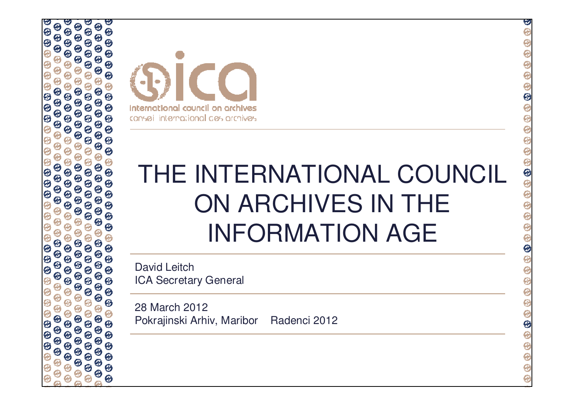| Œ.<br>Θ<br>Θ<br>ω<br>Θ<br>Θ<br>Θ<br>Θ<br>Θ<br>⊖<br>Θ<br>Θ<br>Θ<br>$\bm{\Theta}$<br>Θ<br>Θ<br>Θ<br>Θ<br>Θ<br>Θ<br>Θ<br>Θ<br>Θ<br>Θ<br>$\boldsymbol{\Theta}$<br>Θ<br>Ø<br>99999<br>99999<br>00000<br>$\Theta$<br>$\Theta$<br>$\Theta$<br>666<br><b>0000</b><br>$\Theta$<br><b>00</b><br>$\Theta$<br>$\bm{\Theta}$<br>$\bm{\Theta}$<br>$\frac{1}{3}$<br>$\odot$<br>$\bm{\Theta}$<br>$\bm{\Theta}$<br>Ā<br>Ō,<br>Ō | international council on archives<br>consei international des archives    | Œ<br>$\oplus$                                                                                                           |
|----------------------------------------------------------------------------------------------------------------------------------------------------------------------------------------------------------------------------------------------------------------------------------------------------------------------------------------------------------------------------------------------------------------|---------------------------------------------------------------------------|-------------------------------------------------------------------------------------------------------------------------|
|                                                                                                                                                                                                                                                                                                                                                                                                                | THE INTERNATIONAL COUNCIL<br>ON ARCHIVES IN THE<br><b>INFORMATION AGE</b> | $\circledcirc$<br>$\Theta$                                                                                              |
|                                                                                                                                                                                                                                                                                                                                                                                                                | <b>David Leitch</b><br><b>ICA Secretary General</b>                       |                                                                                                                         |
|                                                                                                                                                                                                                                                                                                                                                                                                                | 28 March 2012<br>Pokrajinski Arhiv, Maribor<br>Radenci 2012               | $\bigcirc$<br>$\hat{\mathbf{\Theta}}$<br>$\oplus$<br>$\widehat{\mathbf{e}}$<br>$\widehat{\mathbf{e}}$<br>$\overline{e}$ |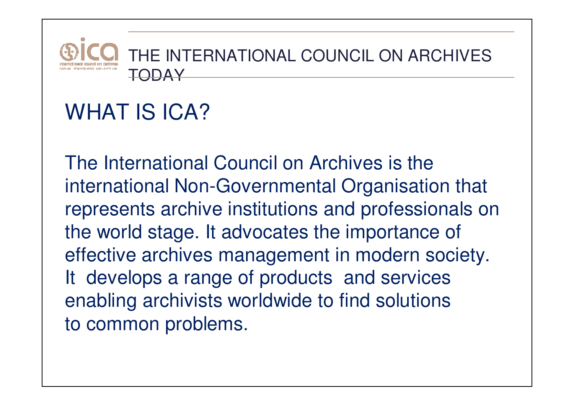

#### WHAT IS ICA?

The International Council on Archives is the international Non-Governmental Organisation that represents archive institutions and professionals on the world stage. It advocates the importance of effective archives management in modern society. It develops a range of products and services enabling archivists worldwide to find solutions to common problems.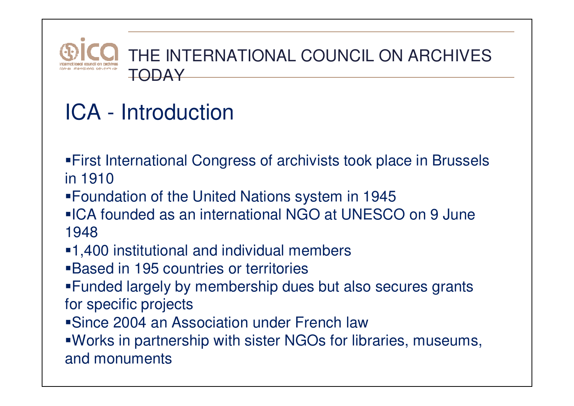

# ICA - Introduction

- First International Congress of archivists took place in Brussels in 1910
- Foundation of the United Nations system in 1945
- ICA founded as an international NGO at UNESCO on 9 June 1948
- 1,400 institutional and individual members
- Based in 195 countries or territories
- Funded largely by membership dues but also secures grants for specific projects
- Since 2004 an Association under French law

 Works in partnership with sister NGOs for libraries, museums, and monuments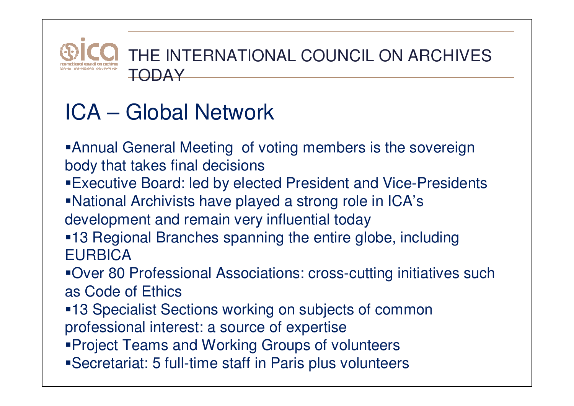

# ICA – Global Network

Annual General Meeting of voting members is the sovereign body that takes final decisions

Executive Board: led by elected President and Vice-Presidents

National Archivists have played a strong role in ICA'sdevelopment and remain very influential today

 13 Regional Branches spanning the entire globe, including **EURBICA** 

 Over 80 Professional Associations: cross-cutting initiatives such as Code of Ethics

 13 Specialist Sections working on subjects of common professional interest: a source of expertise

Project Teams and Working Groups of volunteers

Secretariat: 5 full-time staff in Paris plus volunteers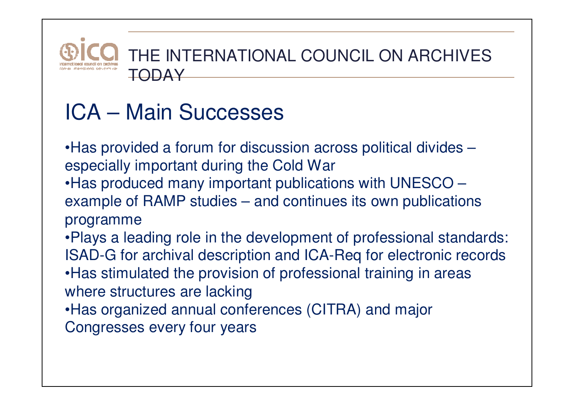

# ICA – Main Successes

•Has provided a forum for discussion across political divides –especially important during the Cold War

 •Has produced many important publications with UNESCO – example of RAMP studies – and continues its own publications programme

 •Plays a leading role in the development of professional standards: ISAD-G for archival description and ICA-Req for electronic records•Has stimulated the provision of professional training in areas where structures are lacking

•Has organized annual conferences (CITRA) and major

Congresses every four years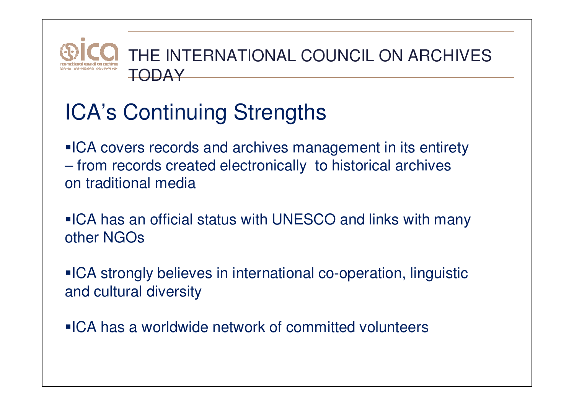

## ICA's Continuing Strengths

**ICA covers records and archives management in its entirety**  $\mathcal{L}_{\mathcal{A}}$  , and the set of the set of the set of the set of the set of the set of the set of the set of the set of the set of the set of the set of the set of the set of the set of the set of the set of the set of th from records created electronically to historical archives on traditional media

**ICA has an official status with UNESCO and links with many** other NGOs

**ICA strongly believes in international co-operation, linguistic** and cultural diversity

**ICA has a worldwide network of committed volunteers**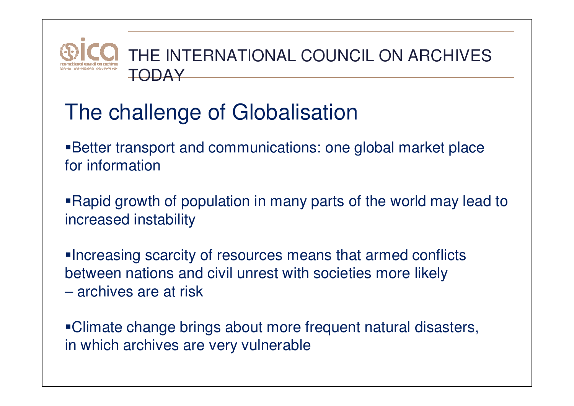

#### The challenge of Globalisation

Better transport and communications: one global market place for information

Rapid growth of population in many parts of the world may lead to increased instability

Increasing scarcity of resources means that armed conflicts between nations and civil unrest with societies more likely archives are at risk

Climate change brings about more frequent natural disasters, in which archives are very vulnerable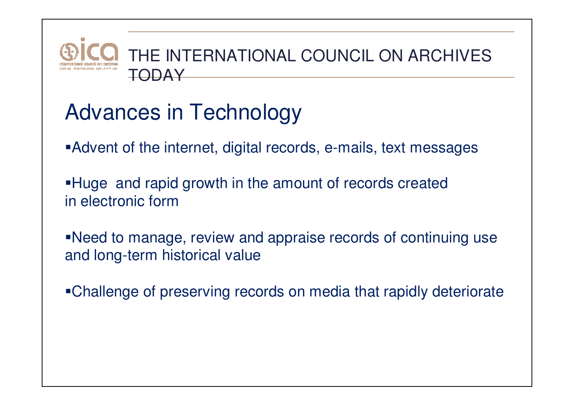

## Advances in Technology

- Advent of the internet, digital records, e-mails, text messages
- Huge and rapid growth in the amount of records created in electronic form
- Need to manage, review and appraise records of continuing use and long-term historical value
- Challenge of preserving records on media that rapidly deteriorate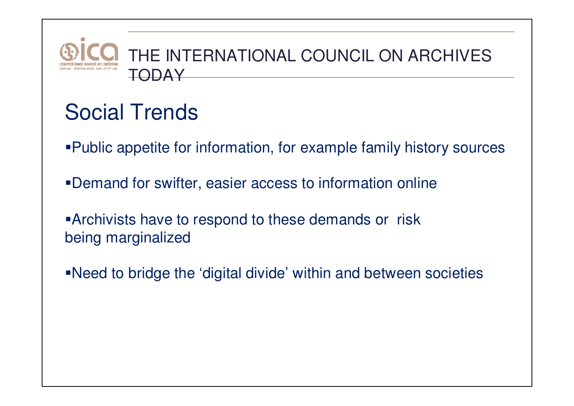

#### Social Trends

- Public appetite for information, for example family history sources
- Demand for swifter, easier access to information online
- Archivists have to respond to these demands or risk being marginalized
- Need to bridge the 'digital divide' within and between societies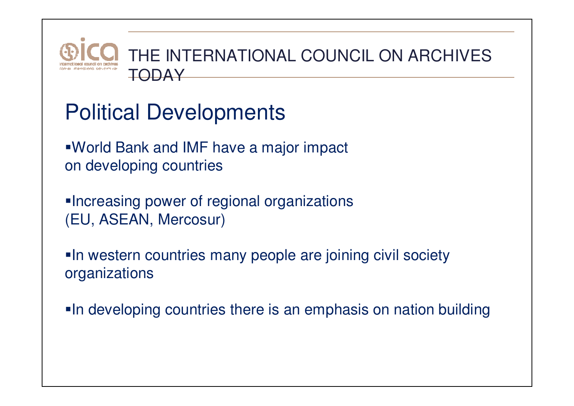

- Political Developments
- World Bank and IMF have a major impact on developing countries
- **Increasing power of regional organizations** (EU, ASEAN, Mercosur)
- **In western countries many people are joining civil society** organizations
- **In developing countries there is an emphasis on nation building**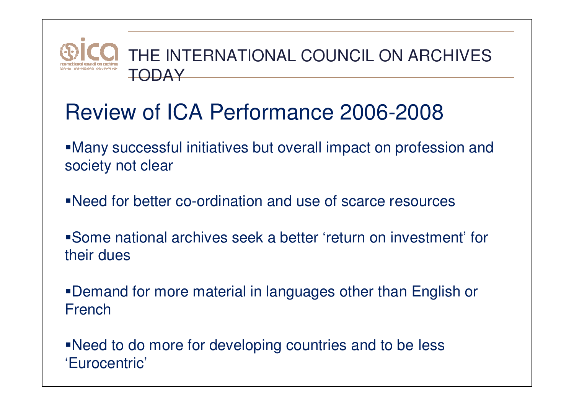

#### Review of ICA Performance 2006-2008

Many successful initiatives but overall impact on profession andsociety not clear

Need for better co-ordination and use of scarce resources

Some national archives seek a better 'return on investment' for their dues

Demand for more material in languages other than English or French

Need to do more for developing countries and to be less 'Eurocentric'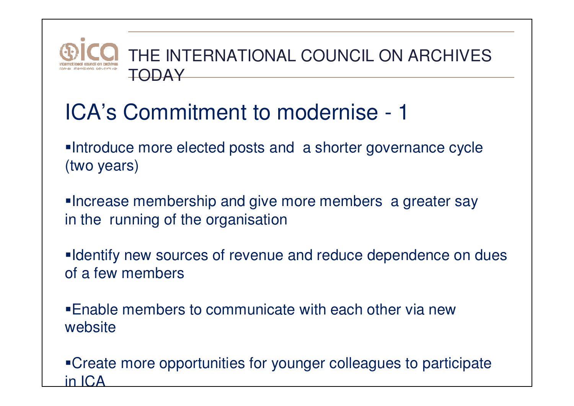

#### ICA's Commitment to modernise - <sup>1</sup>

Introduce more elected posts and a shorter governance cycle (two years)

Increase membership and give more members a greater say in the running of the organisation

**Identify new sources of revenue and reduce dependence on dues** of a few members

Enable members to communicate with each other via new website

Create more opportunities for younger colleagues to participate in ICA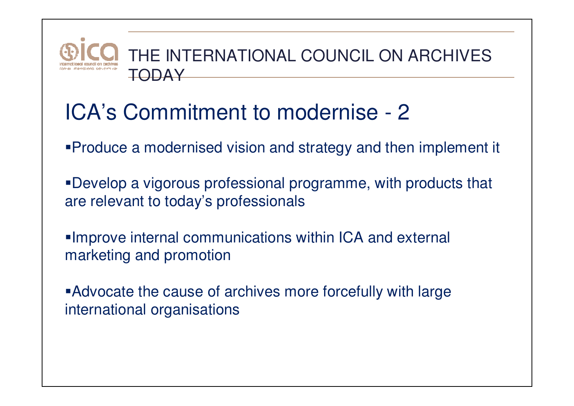

#### ICA's Commitment to modernise - <sup>2</sup>

- Produce a modernised vision and strategy and then implement it
- Develop a vigorous professional programme, with products that are relevant to today's professionals
- Improve internal communications within ICA and external marketing and promotion
- Advocate the cause of archives more forcefully with large international organisations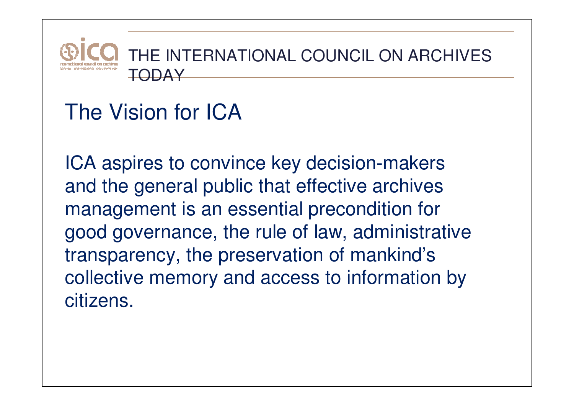

#### The Vision for ICA

ICA aspires to convince key decision-makers and the general public that effective archives management is an essential precondition for good governance, the rule of law, administrative transparency, the preservation of mankind's collective memory and access to information by citizens.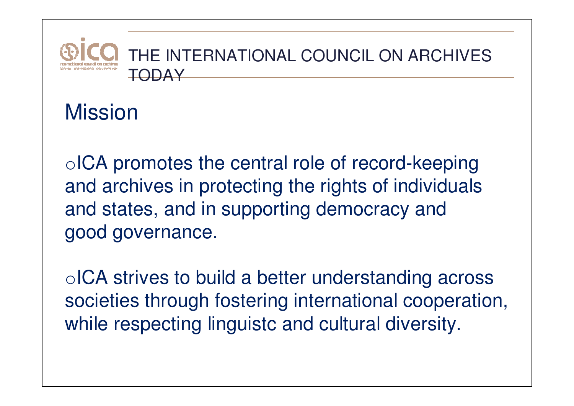

Mission

oICA promotes the central role of record-keeping and archives in protecting the rights of individuals and states, and in supporting democracy and good governance.

oICA strives to build a better understanding across societies through fostering international cooperation, while respecting linguistc and cultural diversity.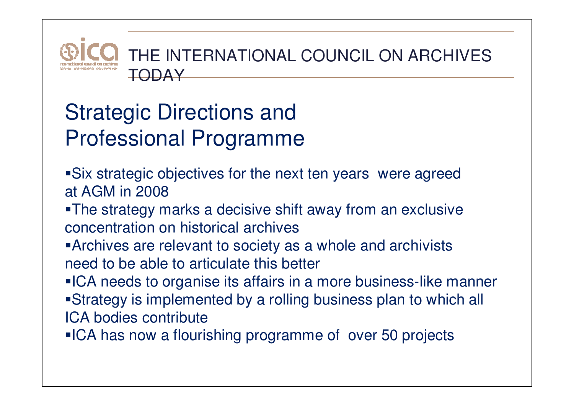

## Strategic Directions and Professional Programme

- Six strategic objectives for the next ten years were agreed at AGM in 2008
- The strategy marks a decisive shift away from an exclusive concentration on historical archives
- Archives are relevant to society as a whole and archivists need to be able to articulate this better
- **ICA needs to organise its affairs in a more business-like manner**
- Strategy is implemented by a rolling business plan to which all ICA bodies contribute
- **ICA has now a flourishing programme of over 50 projects**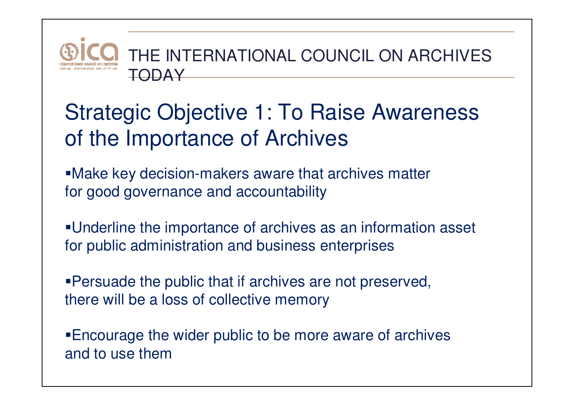

#### Strategic Objective 1: To Raise Awareness of the Importance of Archives

Make key decision-makers aware that archives matterfor good governance and accountability

Underline the importance of archives as an information asset for public administration and business enterprises

Persuade the public that if archives are not preserved, there will be a loss of collective memory

Encourage the wider public to be more aware of archives and to use them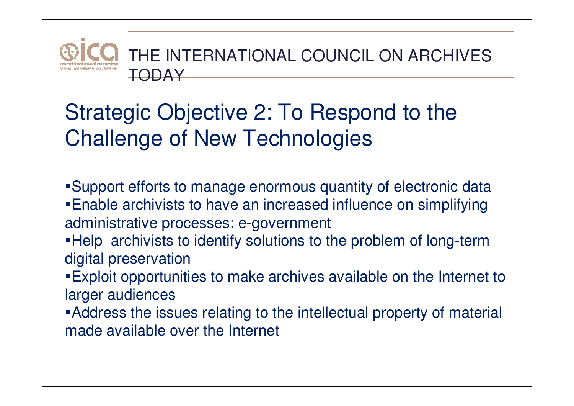## Strategic Objective 2: To Respond to the Challenge of New Technologies

- Support efforts to manage enormous quantity of electronic dataEnable archivists to have an increased influence on simplifying
- administrative processes: e-government
- Help archivists to identify solutions to the problem of long-term digital preservation
- Exploit opportunities to make archives available on the Internet to larger audiences
- Address the issues relating to the intellectual property of material made available over the Internet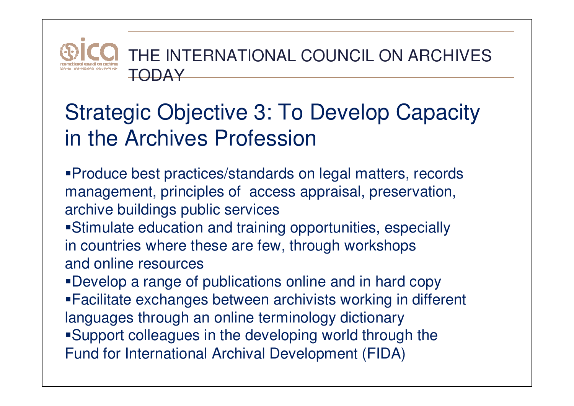

#### Strategic Objective 3: To Develop Capacity in the Archives Profession

- Produce best practices/standards on legal matters, records management, principles of access appraisal, preservation, archive buildings public services
- Stimulate education and training opportunities, especially in countries where these are few, through workshopsand online resources
- Develop a range of publications online and in hard copy Facilitate exchanges between archivists working in different languages through an online terminology dictionary Support colleagues in the developing world through the Fund for International Archival Development (FIDA)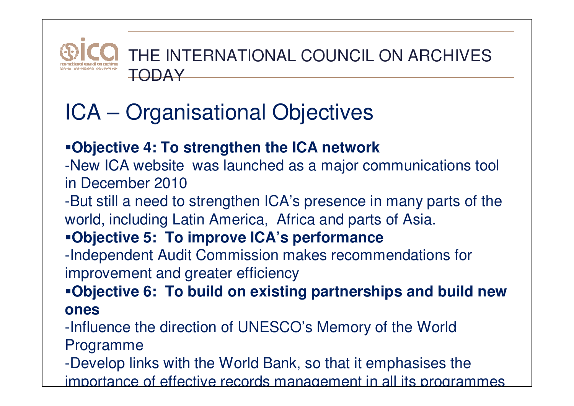

# ICA – Organisational Objectives

#### **Objective 4: To strengthen the ICA network**

 -New ICA website was launched as a major communications tool in December 2010

 -But still a need to strengthen ICA's presence in many parts of the world, including Latin America, Africa and parts of Asia.

#### **Objective 5: To improve ICA's performance**

 -Independent Audit Commission makes recommendations for improvement and greater efficiency

 **Objective 6: To build on existing partnerships and build new ones** 

-Influence the direction of UNESCO's Memory of the World Programme

-Develop links with the World Bank, so that it emphasises the

importance of effective records management in all its programmes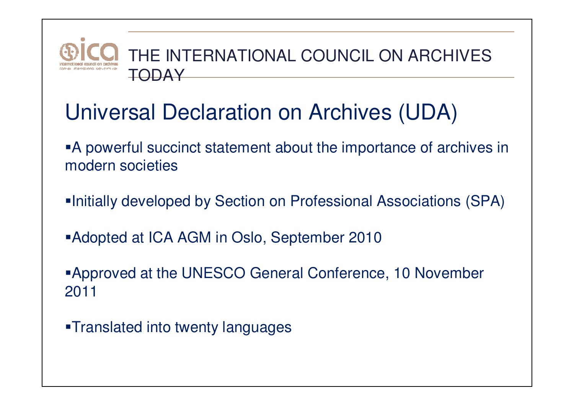

#### Universal Declaration on Archives (UDA)

A powerful succinct statement about the importance of archives in modern societies

- Initially developed by Section on Professional Associations (SPA)
- Adopted at ICA AGM in Oslo, September 2010

Approved at the UNESCO General Conference, 10 November 2011

Translated into twenty languages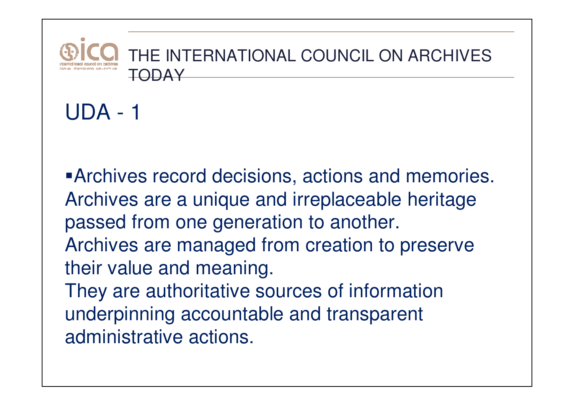

Archives record decisions, actions and memories. Archives are a unique and irreplaceable heritage passed from one generation to another. Archives are managed from creation to preserve their value and meaning.

They are authoritative sources of information underpinning accountable and transparent administrative actions.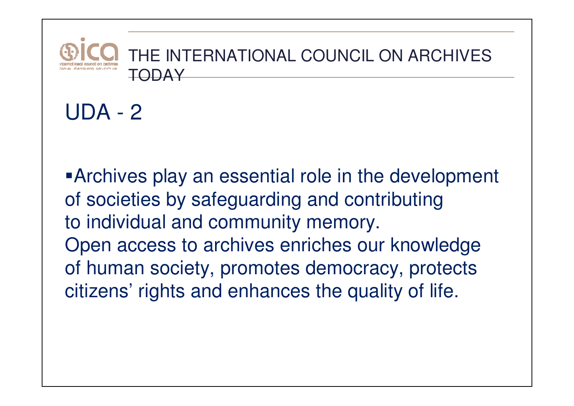

#### Archives play an essential role in the development of societies by safeguarding and contributing to individual and community memory. Open access to archives enriches our knowledge of human society, promotes democracy, protects citizens' rights and enhances the quality of life.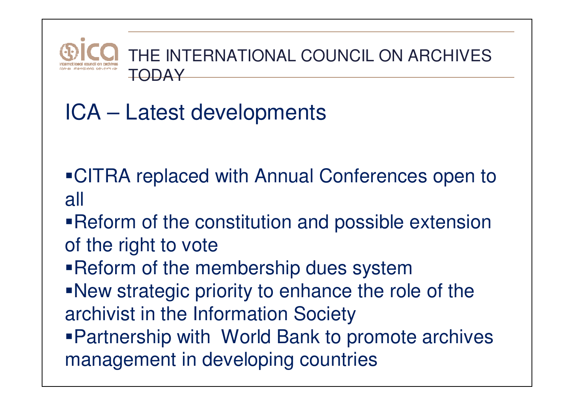

## ICA – Latest developments

- CITRA replaced with Annual Conferences open to all
- **Reform of the constitution and possible extension** of the right to vote
- Reform of the membership dues system
- New strategic priority to enhance the role of the archivist in the Information Society Partnership with World Bank to promote archives management in developing countries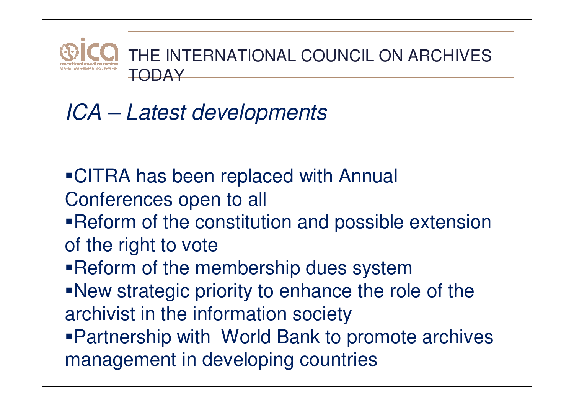

## ICA – Latest developments

- CITRA has been replaced with Annual Conferences open to all
- **Reform of the constitution and possible extension** of the right to vote
- Reform of the membership dues system
- New strategic priority to enhance the role of the archivist in the information society
- Partnership with World Bank to promote archives management in developing countries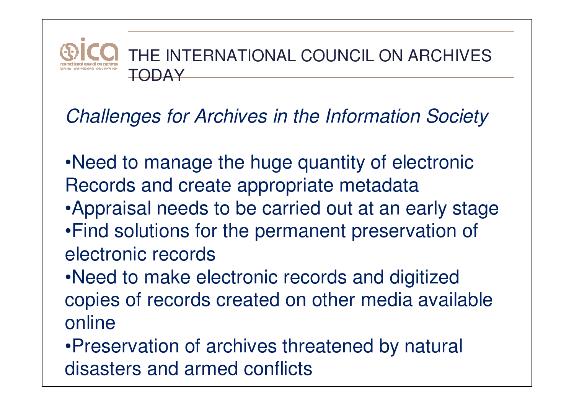

#### Challenges for Archives in the Information Society

- •Need to manage the huge quantity of electronic Records and create appropriate metadata
- •Appraisal needs to be carried out at an early stage
- •Find solutions for the permanent preservation of electronic records
- •Need to make electronic records and digitized copies of records created on other media available online
- •Preservation of archives threatened by natural disasters and armed conflicts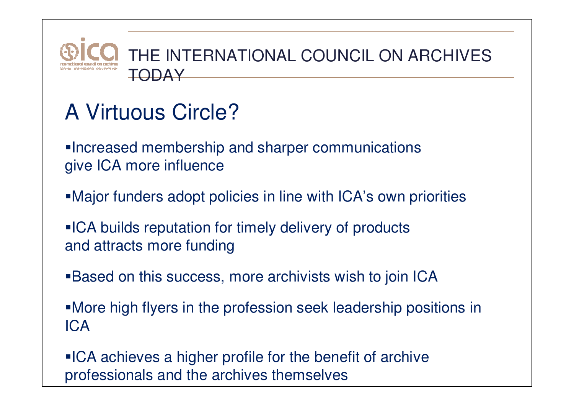

## A Virtuous Circle?

Increased membership and sharper communications give ICA more influence

- Major funders adopt policies in line with ICA's own priorities
- **ICA builds reputation for timely delivery of products** and attracts more funding
- Based on this success, more archivists wish to join ICA
- More high flyers in the profession seek leadership positions in ICA

**ICA achieves a higher profile for the benefit of archive** professionals and the archives themselves